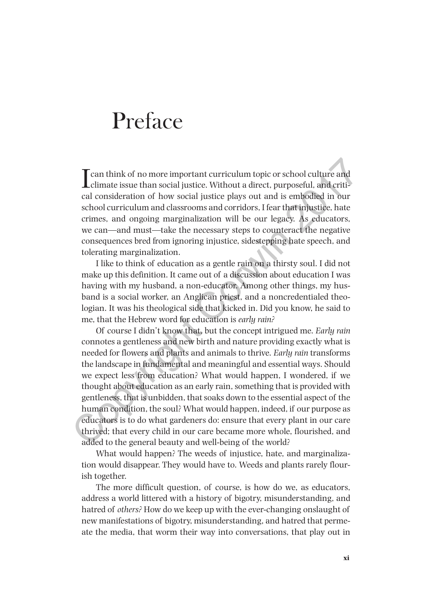## Preface

 $\begin{array}{l} \textbf{\textcolor{blue}{\textbf{I}}} \text{ can think of no more important curriculum topic or school culture and climate issue than social justice. Without a direct, purposeful, and criti-} \end{array}$ **L** climate issue than social justice. Without a direct, purposeful, and critical consideration of how social justice plays out and is embodied in our school curriculum and classrooms and corridors, I fear that injustice, hate crimes, and ongoing marginalization will be our legacy. As educators, we can—and must—take the necessary steps to counteract the negative consequences bred from ignoring injustice, sidestepping hate speech, and tolerating marginalization.

I like to think of education as a gentle rain on a thirsty soul. I did not make up this definition. It came out of a discussion about education I was having with my husband, a non-educator. Among other things, my husband is a social worker, an Anglican priest, and a noncredentialed theologian. It was his theological side that kicked in. Did you know, he said to me, that the Hebrew word for education is *early rain?*

Of course I didn't know that, but the concept intrigued me. *Early rain*  connotes a gentleness and new birth and nature providing exactly what is needed for flowers and plants and animals to thrive. *Early rain* transforms the landscape in fundamental and meaningful and essential ways. Should we expect less from education? What would happen, I wondered, if we thought about education as an early rain, something that is provided with gentleness, that is unbidden, that soaks down to the essential aspect of the human condition, the soul? What would happen, indeed, if our purpose as educators is to do what gardeners do: ensure that every plant in our care thrived; that every child in our care became more whole, flourished, and added to the general beauty and well-being of the world? **The mask of the mask of the mask of no more important curriculum topic or school culture and climate issue than social justice. Without a direct, purposeful, and critical consideration of how social justice plays out and** 

What would happen? The weeds of injustice, hate, and marginalization would disappear. They would have to. Weeds and plants rarely flourish together.

The more difficult question, of course, is how do we, as educators, address a world littered with a history of bigotry, misunderstanding, and hatred of *others?* How do we keep up with the ever-changing onslaught of new manifestations of bigotry, misunderstanding, and hatred that permeate the media, that worm their way into conversations, that play out in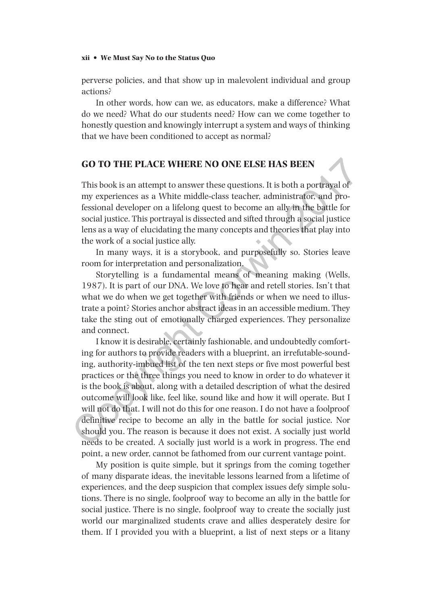## **xii • We Must Say No to the Status Quo**

perverse policies, and that show up in malevolent individual and group actions?

In other words, how can we, as educators, make a difference? What do we need? What do our students need? How can we come together to honestly question and knowingly interrupt a system and ways of thinking that we have been conditioned to accept as normal?

## **GO TO THE PLACE WHERE NO ONE ELSE HAS BEEN**

This book is an attempt to answer these questions. It is both a portrayal of my experiences as a White middle-class teacher, administrator, and professional developer on a lifelong quest to become an ally in the battle for social justice. This portrayal is dissected and sifted through a social justice lens as a way of elucidating the many concepts and theories that play into the work of a social justice ally.

In many ways, it is a storybook, and purposefully so. Stories leave room for interpretation and personalization.

Storytelling is a fundamental means of meaning making (Wells, 1987). It is part of our DNA. We love to hear and retell stories. Isn't that what we do when we get together with friends or when we need to illustrate a point? Stories anchor abstract ideas in an accessible medium. They take the sting out of emotionally charged experiences. They personalize and connect.

I know it is desirable, certainly fashionable, and undoubtedly comforting for authors to provide readers with a blueprint, an irrefutable-sounding, authority-imbued list of the ten next steps or five most powerful best practices or the three things you need to know in order to do whatever it is the book is about, along with a detailed description of what the desired outcome will look like, feel like, sound like and how it will operate. But I will not do that. I will not do this for one reason. I do not have a foolproof definitive recipe to become an ally in the battle for social justice. Nor should you. The reason is because it does not exist. A socially just world needs to be created. A socially just world is a work in progress. The end point, a new order, cannot be fathomed from our current vantage point. **GO TO THE PLACE WHERE NO ONE ELSE HAS BEEN**<br>This book is an attempt to answer these questions. It is both a portrayal of<br>my experiences as a White middle-class teacher, administrator, and pro-<br>fessional developer on a li

My position is quite simple, but it springs from the coming together of many disparate ideas, the inevitable lessons learned from a lifetime of experiences, and the deep suspicion that complex issues defy simple solutions. There is no single, foolproof way to become an ally in the battle for social justice. There is no single, foolproof way to create the socially just world our marginalized students crave and allies desperately desire for them. If I provided you with a blueprint, a list of next steps or a litany